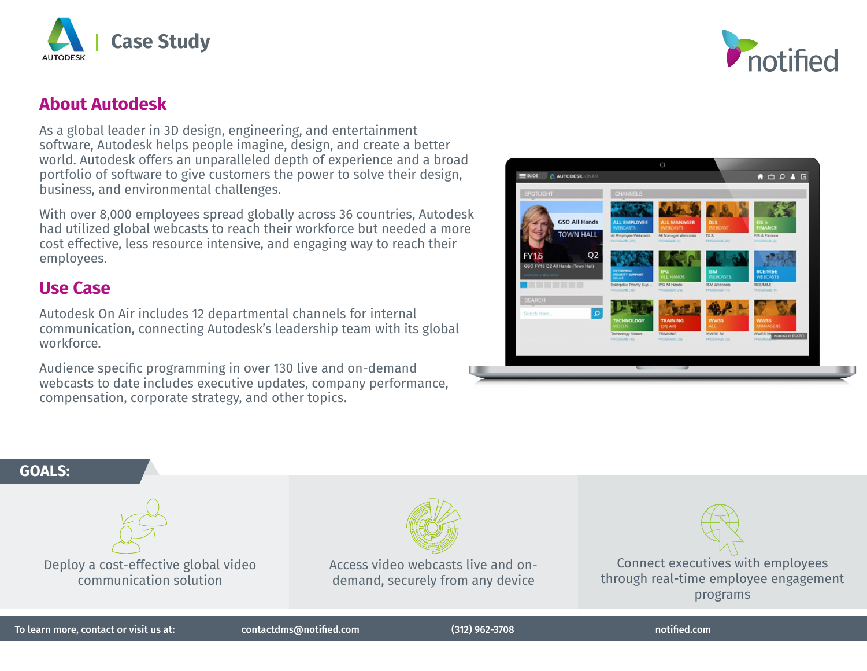



# **About Autodesk**

As a global leader in 3D design, engineering, and entertainment software, Autodesk helps people imagine, design, and create a better world. Autodesk offers an unparalleled depth of experience and a broad portfolio of software to give customers the power to solve their design, business, and environmental challenges.

With over 8,000 employees spread globally across 36 countries, Autodesk had utilized global webcasts to reach their workforce but needed a more cost effective, less resource intensive, and engaging way to reach their employees.

## **Use Case**

Autodesk On Air includes 12 departmental channels for internal communication, connecting Autodesk's leadership team with its global workforce.

Audience specific programming in over 130 live and on-demand webcasts to date includes executive updates, company performance, compensation, corporate strategy, and other topics.



### **GOALS:**





Access video webcasts live and ondemand, securely from any device